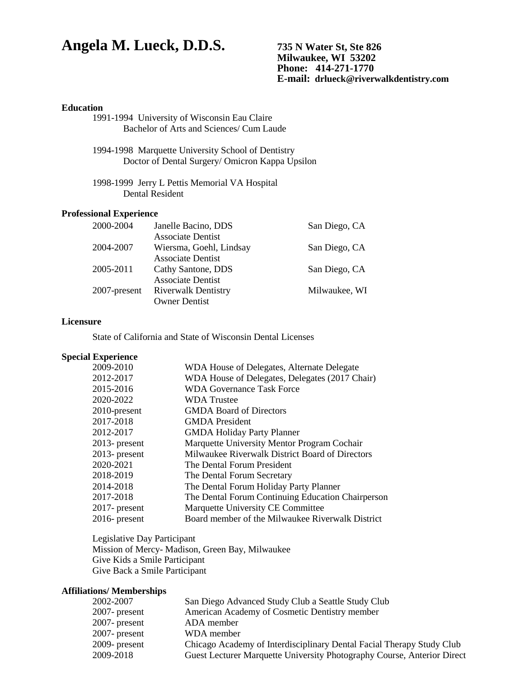# **Angela M. Lueck, D.D.S. 735 N Water St, Ste 826**

**Milwaukee, WI 53202 Phone: 414-271-1770 E-mail: drlueck@riverwalkdentistry.com**

# **Education**

- 1991-1994 University of Wisconsin Eau Claire Bachelor of Arts and Sciences/ Cum Laude
- 1994-1998 Marquette University School of Dentistry Doctor of Dental Surgery/ Omicron Kappa Upsilon
- 1998-1999 Jerry L Pettis Memorial VA Hospital Dental Resident

### **Professional Experience**

| 2000-2004    | Janelle Bacino, DDS        | San Diego, CA |
|--------------|----------------------------|---------------|
|              | <b>Associate Dentist</b>   |               |
| 2004-2007    | Wiersma, Goehl, Lindsay    | San Diego, CA |
|              | <b>Associate Dentist</b>   |               |
| 2005-2011    | Cathy Santone, DDS         | San Diego, CA |
|              | <b>Associate Dentist</b>   |               |
| 2007-present | <b>Riverwalk Dentistry</b> | Milwaukee, WI |
|              | <b>Owner Dentist</b>       |               |

## **Licensure**

State of California and State of Wisconsin Dental Licenses

## **Special Experience**

| 2009-2010        | WDA House of Delegates, Alternate Delegate        |
|------------------|---------------------------------------------------|
| 2012-2017        | WDA House of Delegates, Delegates (2017 Chair)    |
| 2015-2016        | <b>WDA Governance Task Force</b>                  |
| 2020-2022        | <b>WDA</b> Trustee                                |
| 2010-present     | <b>GMDA Board of Directors</b>                    |
| 2017-2018        | <b>GMDA</b> President                             |
| 2012-2017        | <b>GMDA Holiday Party Planner</b>                 |
| $2013$ - present | Marquette University Mentor Program Cochair       |
| $2013$ - present | Milwaukee Riverwalk District Board of Directors   |
| 2020-2021        | The Dental Forum President                        |
| 2018-2019        | The Dental Forum Secretary                        |
| 2014-2018        | The Dental Forum Holiday Party Planner            |
| 2017-2018        | The Dental Forum Continuing Education Chairperson |
| $2017$ - present | Marquette University CE Committee                 |
| $2016$ - present | Board member of the Milwaukee Riverwalk District  |

Legislative Day Participant Mission of Mercy- Madison, Green Bay, Milwaukee Give Kids a Smile Participant Give Back a Smile Participant

# **Affiliations/ Memberships**

| 2002-2007        | San Diego Advanced Study Club a Seattle Study Club                      |
|------------------|-------------------------------------------------------------------------|
| $2007$ - present | American Academy of Cosmetic Dentistry member                           |
| $2007$ - present | ADA member                                                              |
| $2007$ - present | WDA member                                                              |
| $2009$ - present | Chicago Academy of Interdisciplinary Dental Facial Therapy Study Club   |
| 2009-2018        | Guest Lecturer Marquette University Photography Course, Anterior Direct |